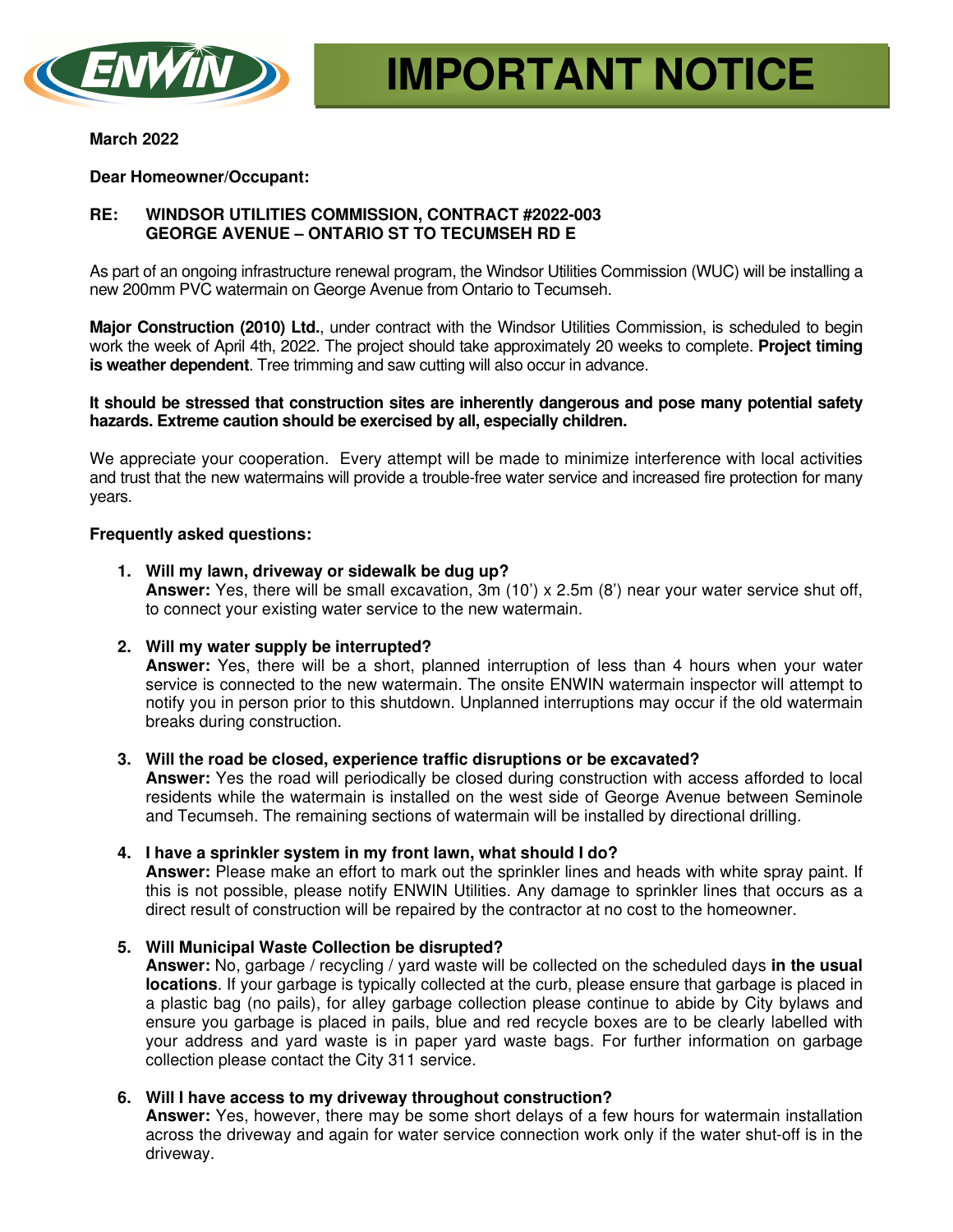

#### **March 2022**

## **Dear Homeowner/Occupant:**

# **RE: WINDSOR UTILITIES COMMISSION, CONTRACT #2022-003 GEORGE AVENUE – ONTARIO ST TO TECUMSEH RD E**

As part of an ongoing infrastructure renewal program, the Windsor Utilities Commission (WUC) will be installing a new 200mm PVC watermain on George Avenue from Ontario to Tecumseh.

**Major Construction (2010) Ltd.**, under contract with the Windsor Utilities Commission, is scheduled to begin work the week of April 4th, 2022. The project should take approximately 20 weeks to complete. **Project timing is weather dependent**. Tree trimming and saw cutting will also occur in advance.

#### **It should be stressed that construction sites are inherently dangerous and pose many potential safety hazards. Extreme caution should be exercised by all, especially children.**

We appreciate your cooperation. Every attempt will be made to minimize interference with local activities and trust that the new watermains will provide a trouble-free water service and increased fire protection for many years.

## **Frequently asked questions:**

- **1. Will my lawn, driveway or sidewalk be dug up? Answer:** Yes, there will be small excavation, 3m (10') x 2.5m (8') near your water service shut off, to connect your existing water service to the new watermain.
- **2. Will my water supply be interrupted?**

**Answer:** Yes, there will be a short, planned interruption of less than 4 hours when your water service is connected to the new watermain. The onsite ENWIN watermain inspector will attempt to notify you in person prior to this shutdown. Unplanned interruptions may occur if the old watermain breaks during construction.

## **3. Will the road be closed, experience traffic disruptions or be excavated?**

**Answer:** Yes the road will periodically be closed during construction with access afforded to local residents while the watermain is installed on the west side of George Avenue between Seminole and Tecumseh. The remaining sections of watermain will be installed by directional drilling.

#### **4. I have a sprinkler system in my front lawn, what should I do?**

**Answer:** Please make an effort to mark out the sprinkler lines and heads with white spray paint. If this is not possible, please notify ENWIN Utilities. Any damage to sprinkler lines that occurs as a direct result of construction will be repaired by the contractor at no cost to the homeowner.

## **5. Will Municipal Waste Collection be disrupted?**

**Answer:** No, garbage / recycling / yard waste will be collected on the scheduled days **in the usual locations**. If your garbage is typically collected at the curb, please ensure that garbage is placed in a plastic bag (no pails), for alley garbage collection please continue to abide by City bylaws and ensure you garbage is placed in pails, blue and red recycle boxes are to be clearly labelled with your address and yard waste is in paper yard waste bags. For further information on garbage collection please contact the City 311 service.

## **6. Will I have access to my driveway throughout construction?**

**Answer:** Yes, however, there may be some short delays of a few hours for watermain installation across the driveway and again for water service connection work only if the water shut-off is in the driveway.